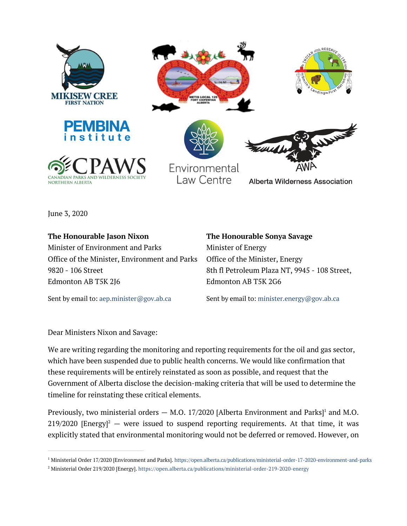

June 3, 2020

**The Honourable Jason Nixon** Minister of Environment and Parks Office of the Minister, Environment and Parks 9820 - 106 Street Edmonton AB T5K 2J6

**The Honourable Sonya Savage** Minister of Energy Office of the Minister, Energy 8th fl Petroleum Plaza NT, 9945 - 108 Street, Edmonton AB T5K 2G6

Sent by email to: aep.minister@gov.ab.ca

Sent by email to: minister.energy@gov.ab.ca

Dear Ministers Nixon and Savage:

We are writing regarding the monitoring and reporting requirements for the oil and gas sector, which have been suspended due to public health concerns. We would like confirmation that these requirements will be entirely reinstated as soon as possible, and request that the Government of Alberta disclose the decision-making criteria that will be used to determine the timeline for reinstating these critical elements.

Previously, two ministerial orders  $-$  M.O. 17/2020 [Alberta Environment and Parks]<sup>1</sup> and M.O.  $219/2020$  [Energy]<sup>2</sup> – were issued to suspend reporting requirements. At that time, it was explicitly stated that environmental monitoring would not be deferred or removed. However, on

<sup>&</sup>lt;sup>1</sup> Ministerial Order 17/2020 [Environment and Parks]. https://open.alberta.ca/publications/ministerial-order-17-2020-environment-and-parks

<sup>2</sup> Ministerial Order 219/2020 [Energy]. https://open.alberta.ca/publications/ministerial-order-219-2020-energy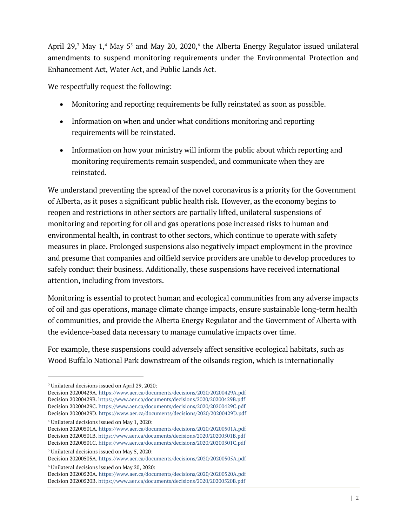April 29,<sup>3</sup> May 1,<sup>4</sup> May 5<sup>5</sup> and May 20, 2020,<sup>6</sup> the Alberta Energy Regulator issued unilateral amendments to suspend monitoring requirements under the Environmental Protection and Enhancement Act, Water Act, and Public Lands Act.

We respectfully request the following:

- Monitoring and reporting requirements be fully reinstated as soon as possible.
- Information on when and under what conditions monitoring and reporting requirements will be reinstated.
- Information on how your ministry will inform the public about which reporting and monitoring requirements remain suspended, and communicate when they are reinstated.

We understand preventing the spread of the novel coronavirus is a priority for the Government of Alberta, as it poses a significant public health risk. However, as the economy begins to reopen and restrictions in other sectors are partially lifted, unilateral suspensions of monitoring and reporting for oil and gas operations pose increased risks to human and environmental health, in contrast to other sectors, which continue to operate with safety measures in place. Prolonged suspensions also negatively impact employment in the province and presume that companies and oilfield service providers are unable to develop procedures to safely conduct their business. Additionally, these suspensions have received international attention, including from investors.

Monitoring is essential to protect human and ecological communities from any adverse impacts of oil and gas operations, manage climate change impacts, ensure sustainable long-term health of communities, and provide the Alberta Energy Regulator and the Government of Alberta with the evidence-based data necessary to manage cumulative impacts over time.

For example, these suspensions could adversely affect sensitive ecological habitats, such as Wood Buffalo National Park downstream of the oilsands region, which is internationally

<sup>4</sup> Unilateral decisions issued on May 1, 2020:

<sup>6</sup> Unilateral decisions issued on May 20, 2020:

<sup>3</sup> Unilateral decisions issued on April 29, 2020:

Decision 20200429A. https://www.aer.ca/documents/decisions/2020/20200429A.pdf Decision 20200429B. https://www.aer.ca/documents/decisions/2020/20200429B.pdf Decision 20200429C. https://www.aer.ca/documents/decisions/2020/20200429C.pdf Decision 20200429D. https://www.aer.ca/documents/decisions/2020/20200429D.pdf

Decision 20200501A. https://www.aer.ca/documents/decisions/2020/20200501A.pdf Decision 20200501B. https://www.aer.ca/documents/decisions/2020/20200501B.pdf Decision 20200501C. https://www.aer.ca/documents/decisions/2020/20200501C.pdf

<sup>5</sup> Unilateral decisions issued on May 5, 2020:

Decision 20200505A. https://www.aer.ca/documents/decisions/2020/20200505A.pdf

Decision 20200520A. https://www.aer.ca/documents/decisions/2020/20200520A.pdf Decision 20200520B. https://www.aer.ca/documents/decisions/2020/20200520B.pdf